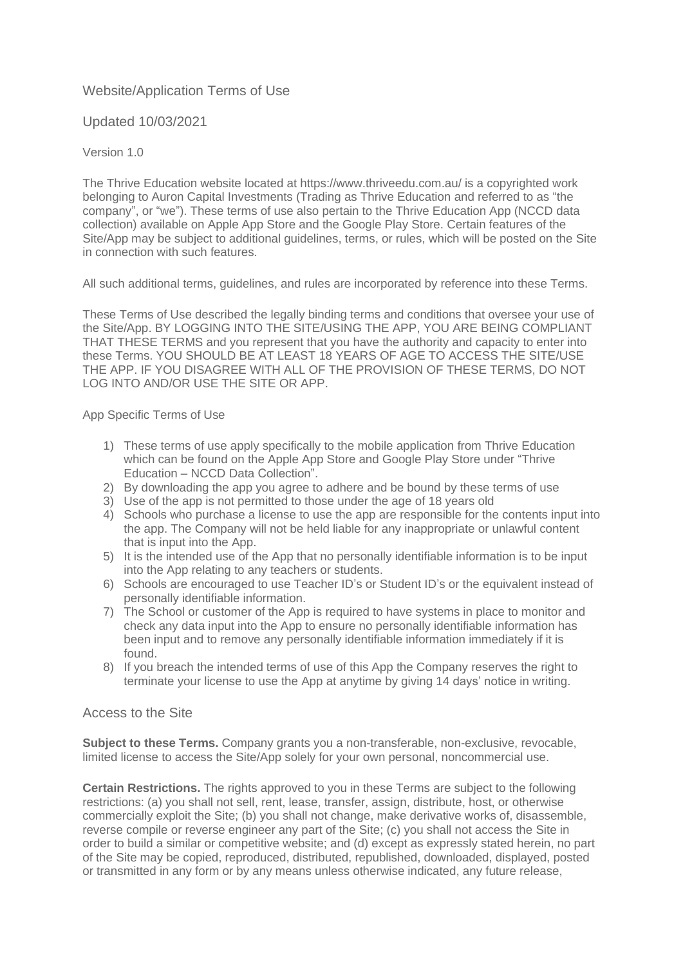# Website/Application Terms of Use

Updated 10/03/2021

### Version 1.0

The Thrive Education website located at https://www.thriveedu.com.au/ is a copyrighted work belonging to Auron Capital Investments (Trading as Thrive Education and referred to as "the company", or "we"). These terms of use also pertain to the Thrive Education App (NCCD data collection) available on Apple App Store and the Google Play Store. Certain features of the Site/App may be subject to additional guidelines, terms, or rules, which will be posted on the Site in connection with such features.

All such additional terms, guidelines, and rules are incorporated by reference into these Terms.

These Terms of Use described the legally binding terms and conditions that oversee your use of the Site/App. BY LOGGING INTO THE SITE/USING THE APP, YOU ARE BEING COMPLIANT THAT THESE TERMS and you represent that you have the authority and capacity to enter into these Terms. YOU SHOULD BE AT LEAST 18 YEARS OF AGE TO ACCESS THE SITE/USE THE APP. IF YOU DISAGREE WITH ALL OF THE PROVISION OF THESE TERMS, DO NOT LOG INTO AND/OR USE THE SITE OR APP.

App Specific Terms of Use

- 1) These terms of use apply specifically to the mobile application from Thrive Education which can be found on the Apple App Store and Google Play Store under "Thrive Education – NCCD Data Collection".
- 2) By downloading the app you agree to adhere and be bound by these terms of use
- 3) Use of the app is not permitted to those under the age of 18 years old
- 4) Schools who purchase a license to use the app are responsible for the contents input into the app. The Company will not be held liable for any inappropriate or unlawful content that is input into the App.
- 5) It is the intended use of the App that no personally identifiable information is to be input into the App relating to any teachers or students.
- 6) Schools are encouraged to use Teacher ID's or Student ID's or the equivalent instead of personally identifiable information.
- 7) The School or customer of the App is required to have systems in place to monitor and check any data input into the App to ensure no personally identifiable information has been input and to remove any personally identifiable information immediately if it is found.
- 8) If you breach the intended terms of use of this App the Company reserves the right to terminate your license to use the App at anytime by giving 14 days' notice in writing.

## Access to the Site

**Subject to these Terms.** Company grants you a non-transferable, non-exclusive, revocable, limited license to access the Site/App solely for your own personal, noncommercial use.

**Certain Restrictions.** The rights approved to you in these Terms are subject to the following restrictions: (a) you shall not sell, rent, lease, transfer, assign, distribute, host, or otherwise commercially exploit the Site; (b) you shall not change, make derivative works of, disassemble, reverse compile or reverse engineer any part of the Site; (c) you shall not access the Site in order to build a similar or competitive website; and (d) except as expressly stated herein, no part of the Site may be copied, reproduced, distributed, republished, downloaded, displayed, posted or transmitted in any form or by any means unless otherwise indicated, any future release,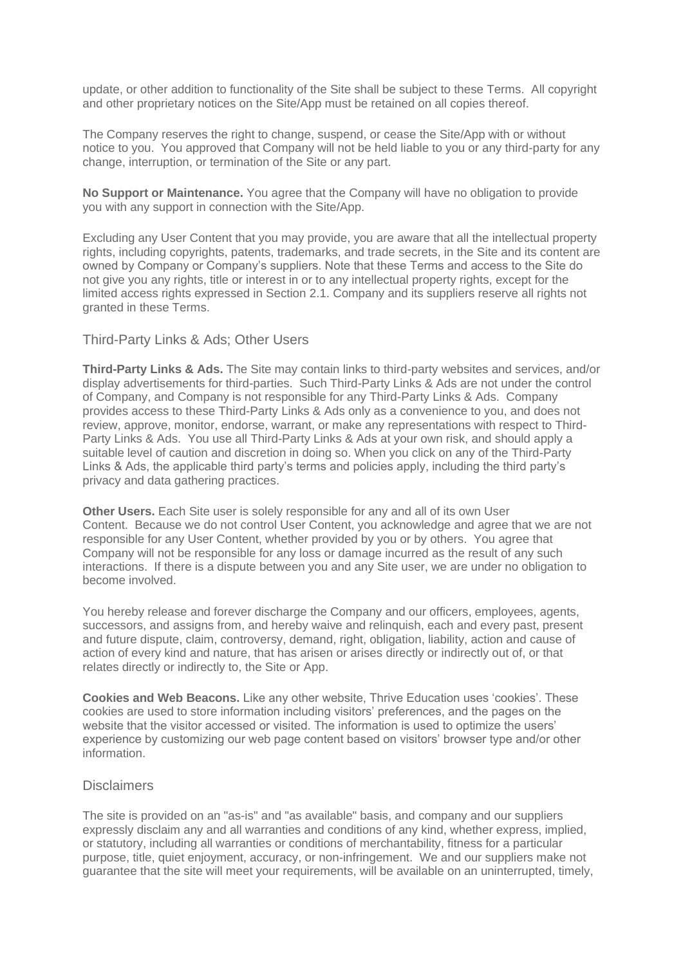update, or other addition to functionality of the Site shall be subject to these Terms. All copyright and other proprietary notices on the Site/App must be retained on all copies thereof.

The Company reserves the right to change, suspend, or cease the Site/App with or without notice to you. You approved that Company will not be held liable to you or any third-party for any change, interruption, or termination of the Site or any part.

**No Support or Maintenance.** You agree that the Company will have no obligation to provide you with any support in connection with the Site/App.

Excluding any User Content that you may provide, you are aware that all the intellectual property rights, including copyrights, patents, trademarks, and trade secrets, in the Site and its content are owned by Company or Company's suppliers. Note that these Terms and access to the Site do not give you any rights, title or interest in or to any intellectual property rights, except for the limited access rights expressed in Section 2.1. Company and its suppliers reserve all rights not granted in these Terms.

### Third-Party Links & Ads; Other Users

**Third-Party Links & Ads.** The Site may contain links to third-party websites and services, and/or display advertisements for third-parties. Such Third-Party Links & Ads are not under the control of Company, and Company is not responsible for any Third-Party Links & Ads. Company provides access to these Third-Party Links & Ads only as a convenience to you, and does not review, approve, monitor, endorse, warrant, or make any representations with respect to Third-Party Links & Ads. You use all Third-Party Links & Ads at your own risk, and should apply a suitable level of caution and discretion in doing so. When you click on any of the Third-Party Links & Ads, the applicable third party's terms and policies apply, including the third party's privacy and data gathering practices.

**Other Users.** Each Site user is solely responsible for any and all of its own User Content. Because we do not control User Content, you acknowledge and agree that we are not responsible for any User Content, whether provided by you or by others. You agree that Company will not be responsible for any loss or damage incurred as the result of any such interactions. If there is a dispute between you and any Site user, we are under no obligation to become involved.

You hereby release and forever discharge the Company and our officers, employees, agents, successors, and assigns from, and hereby waive and relinquish, each and every past, present and future dispute, claim, controversy, demand, right, obligation, liability, action and cause of action of every kind and nature, that has arisen or arises directly or indirectly out of, or that relates directly or indirectly to, the Site or App.

**Cookies and Web Beacons.** Like any other website, Thrive Education uses 'cookies'. These cookies are used to store information including visitors' preferences, and the pages on the website that the visitor accessed or visited. The information is used to optimize the users' experience by customizing our web page content based on visitors' browser type and/or other information.

#### **Disclaimers**

The site is provided on an "as-is" and "as available" basis, and company and our suppliers expressly disclaim any and all warranties and conditions of any kind, whether express, implied, or statutory, including all warranties or conditions of merchantability, fitness for a particular purpose, title, quiet enjoyment, accuracy, or non-infringement. We and our suppliers make not guarantee that the site will meet your requirements, will be available on an uninterrupted, timely,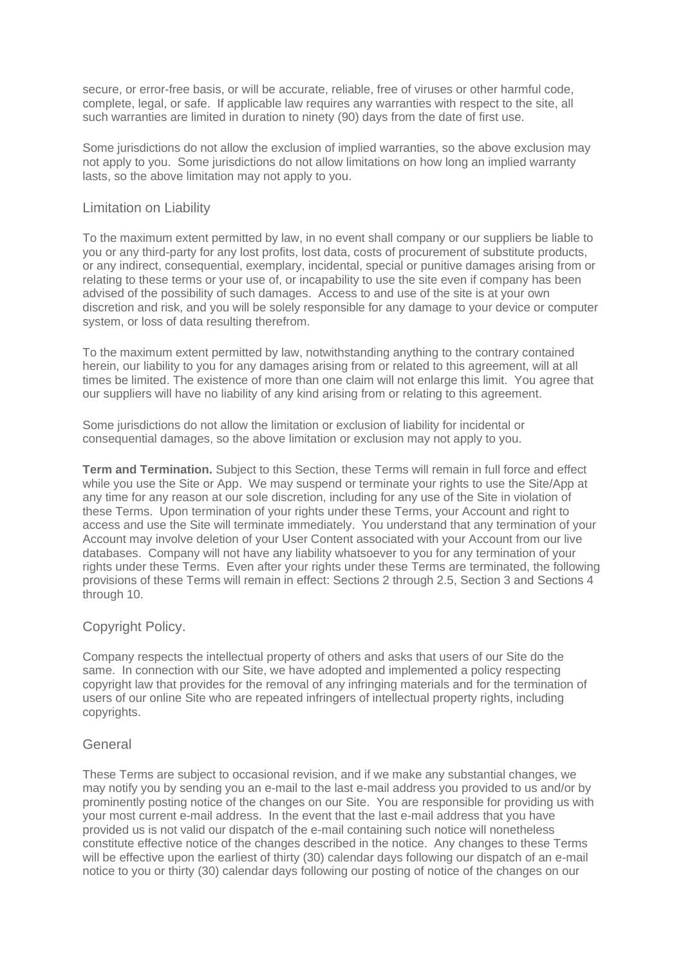secure, or error-free basis, or will be accurate, reliable, free of viruses or other harmful code, complete, legal, or safe. If applicable law requires any warranties with respect to the site, all such warranties are limited in duration to ninety (90) days from the date of first use.

Some jurisdictions do not allow the exclusion of implied warranties, so the above exclusion may not apply to you. Some jurisdictions do not allow limitations on how long an implied warranty lasts, so the above limitation may not apply to you.

## Limitation on Liability

To the maximum extent permitted by law, in no event shall company or our suppliers be liable to you or any third-party for any lost profits, lost data, costs of procurement of substitute products, or any indirect, consequential, exemplary, incidental, special or punitive damages arising from or relating to these terms or your use of, or incapability to use the site even if company has been advised of the possibility of such damages. Access to and use of the site is at your own discretion and risk, and you will be solely responsible for any damage to your device or computer system, or loss of data resulting therefrom.

To the maximum extent permitted by law, notwithstanding anything to the contrary contained herein, our liability to you for any damages arising from or related to this agreement, will at all times be limited. The existence of more than one claim will not enlarge this limit. You agree that our suppliers will have no liability of any kind arising from or relating to this agreement.

Some jurisdictions do not allow the limitation or exclusion of liability for incidental or consequential damages, so the above limitation or exclusion may not apply to you.

**Term and Termination.** Subject to this Section, these Terms will remain in full force and effect while you use the Site or App. We may suspend or terminate your rights to use the Site/App at any time for any reason at our sole discretion, including for any use of the Site in violation of these Terms. Upon termination of your rights under these Terms, your Account and right to access and use the Site will terminate immediately. You understand that any termination of your Account may involve deletion of your User Content associated with your Account from our live databases. Company will not have any liability whatsoever to you for any termination of your rights under these Terms. Even after your rights under these Terms are terminated, the following provisions of these Terms will remain in effect: Sections 2 through 2.5, Section 3 and Sections 4 through 10.

## Copyright Policy.

Company respects the intellectual property of others and asks that users of our Site do the same. In connection with our Site, we have adopted and implemented a policy respecting copyright law that provides for the removal of any infringing materials and for the termination of users of our online Site who are repeated infringers of intellectual property rights, including copyrights.

## **General**

These Terms are subject to occasional revision, and if we make any substantial changes, we may notify you by sending you an e-mail to the last e-mail address you provided to us and/or by prominently posting notice of the changes on our Site. You are responsible for providing us with your most current e-mail address. In the event that the last e-mail address that you have provided us is not valid our dispatch of the e-mail containing such notice will nonetheless constitute effective notice of the changes described in the notice. Any changes to these Terms will be effective upon the earliest of thirty (30) calendar days following our dispatch of an e-mail notice to you or thirty (30) calendar days following our posting of notice of the changes on our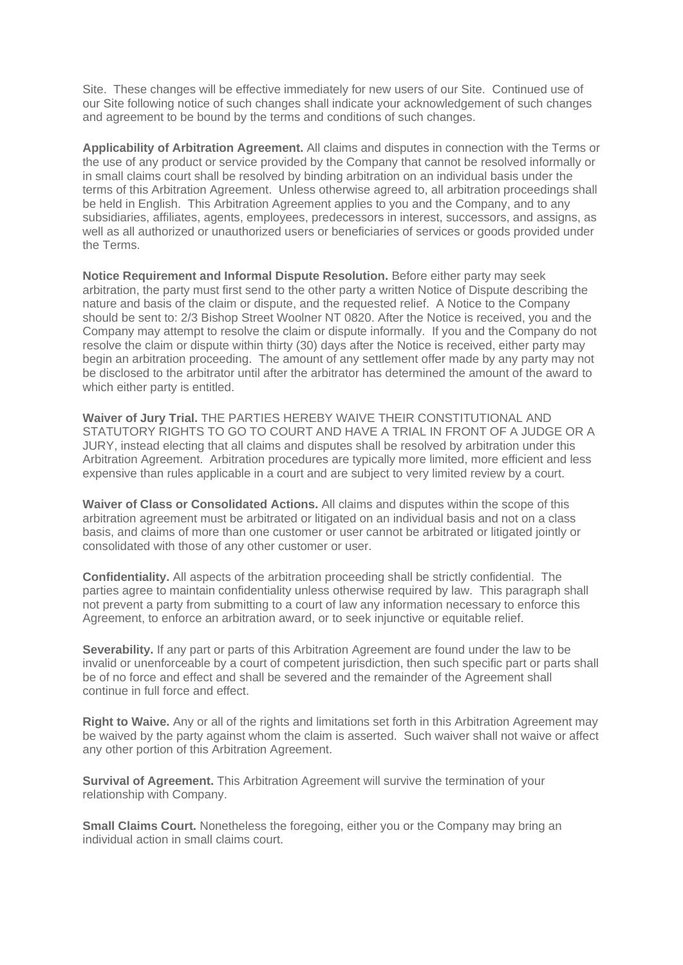Site. These changes will be effective immediately for new users of our Site. Continued use of our Site following notice of such changes shall indicate your acknowledgement of such changes and agreement to be bound by the terms and conditions of such changes.

**Applicability of Arbitration Agreement.** All claims and disputes in connection with the Terms or the use of any product or service provided by the Company that cannot be resolved informally or in small claims court shall be resolved by binding arbitration on an individual basis under the terms of this Arbitration Agreement. Unless otherwise agreed to, all arbitration proceedings shall be held in English. This Arbitration Agreement applies to you and the Company, and to any subsidiaries, affiliates, agents, employees, predecessors in interest, successors, and assigns, as well as all authorized or unauthorized users or beneficiaries of services or goods provided under the Terms.

**Notice Requirement and Informal Dispute Resolution.** Before either party may seek arbitration, the party must first send to the other party a written Notice of Dispute describing the nature and basis of the claim or dispute, and the requested relief. A Notice to the Company should be sent to: 2/3 Bishop Street Woolner NT 0820. After the Notice is received, you and the Company may attempt to resolve the claim or dispute informally. If you and the Company do not resolve the claim or dispute within thirty (30) days after the Notice is received, either party may begin an arbitration proceeding. The amount of any settlement offer made by any party may not be disclosed to the arbitrator until after the arbitrator has determined the amount of the award to which either party is entitled.

**Waiver of Jury Trial.** THE PARTIES HEREBY WAIVE THEIR CONSTITUTIONAL AND STATUTORY RIGHTS TO GO TO COURT AND HAVE A TRIAL IN FRONT OF A JUDGE OR A JURY, instead electing that all claims and disputes shall be resolved by arbitration under this Arbitration Agreement. Arbitration procedures are typically more limited, more efficient and less expensive than rules applicable in a court and are subject to very limited review by a court.

**Waiver of Class or Consolidated Actions.** All claims and disputes within the scope of this arbitration agreement must be arbitrated or litigated on an individual basis and not on a class basis, and claims of more than one customer or user cannot be arbitrated or litigated jointly or consolidated with those of any other customer or user.

**Confidentiality.** All aspects of the arbitration proceeding shall be strictly confidential. The parties agree to maintain confidentiality unless otherwise required by law. This paragraph shall not prevent a party from submitting to a court of law any information necessary to enforce this Agreement, to enforce an arbitration award, or to seek injunctive or equitable relief.

**Severability.** If any part or parts of this Arbitration Agreement are found under the law to be invalid or unenforceable by a court of competent jurisdiction, then such specific part or parts shall be of no force and effect and shall be severed and the remainder of the Agreement shall continue in full force and effect.

**Right to Waive.** Any or all of the rights and limitations set forth in this Arbitration Agreement may be waived by the party against whom the claim is asserted. Such waiver shall not waive or affect any other portion of this Arbitration Agreement.

**Survival of Agreement.** This Arbitration Agreement will survive the termination of your relationship with Company.

**Small Claims Court.** Nonetheless the foregoing, either you or the Company may bring an individual action in small claims court.